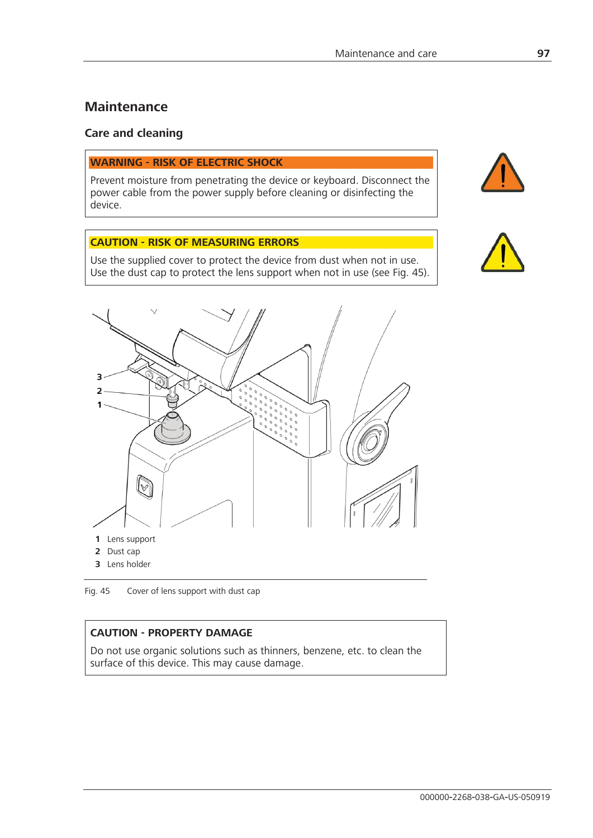# **Maintenance**

#### **Care and cleaning**

#### **WARNING - RISK OF ELECTRIC SHOCK**

Prevent moisture from penetrating the device or keyboard. Disconnect the power cable from the power supply before cleaning or disinfecting the device.

## **CAUTION - RISK OF MEASURING ERRORS**

Use the supplied cover to protect the device from dust when not in use. Use the dust cap to protect the lens support when not in use (see Fig. 45).





Fig. 45 Cover of lens support with dust cap

## **CAUTION - PROPERTY DAMAGE**

Do not use organic solutions such as thinners, benzene, etc. to clean the surface of this device. This may cause damage.